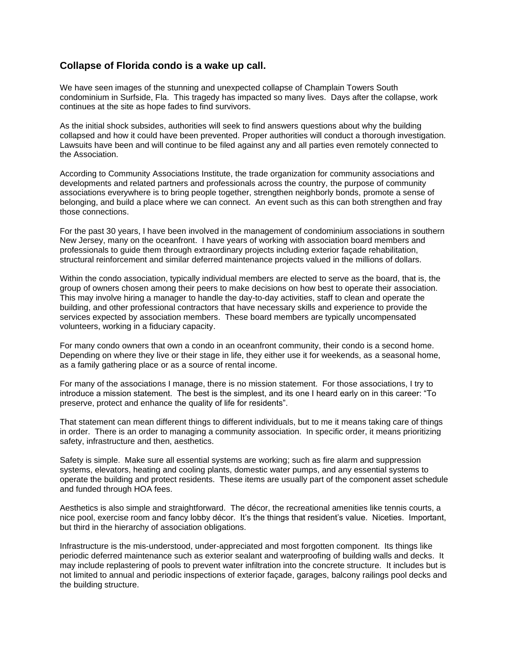## **Collapse of Florida condo is a wake up call.**

We have seen images of the stunning and unexpected collapse of Champlain Towers South condominium in Surfside, Fla. This tragedy has impacted so many lives. Days after the collapse, work continues at the site as hope fades to find survivors.

As the initial shock subsides, authorities will seek to find answers questions about why the building collapsed and how it could have been prevented. Proper authorities will conduct a thorough investigation. Lawsuits have been and will continue to be filed against any and all parties even remotely connected to the Association.

According to Community Associations Institute, the trade organization for community associations and developments and related partners and professionals across the country, the purpose of community associations everywhere is to bring people together, strengthen neighborly bonds, promote a sense of belonging, and build a place where we can connect. An event such as this can both strengthen and fray those connections.

For the past 30 years, I have been involved in the management of condominium associations in southern New Jersey, many on the oceanfront. I have years of working with association board members and professionals to guide them through extraordinary projects including exterior façade rehabilitation, structural reinforcement and similar deferred maintenance projects valued in the millions of dollars.

Within the condo association, typically individual members are elected to serve as the board, that is, the group of owners chosen among their peers to make decisions on how best to operate their association. This may involve hiring a manager to handle the day-to-day activities, staff to clean and operate the building, and other professional contractors that have necessary skills and experience to provide the services expected by association members. These board members are typically uncompensated volunteers, working in a fiduciary capacity.

For many condo owners that own a condo in an oceanfront community, their condo is a second home. Depending on where they live or their stage in life, they either use it for weekends, as a seasonal home, as a family gathering place or as a source of rental income.

For many of the associations I manage, there is no mission statement. For those associations, I try to introduce a mission statement. The best is the simplest, and its one I heard early on in this career: "To preserve, protect and enhance the quality of life for residents".

That statement can mean different things to different individuals, but to me it means taking care of things in order. There is an order to managing a community association. In specific order, it means prioritizing safety, infrastructure and then, aesthetics.

Safety is simple. Make sure all essential systems are working; such as fire alarm and suppression systems, elevators, heating and cooling plants, domestic water pumps, and any essential systems to operate the building and protect residents. These items are usually part of the component asset schedule and funded through HOA fees.

Aesthetics is also simple and straightforward. The décor, the recreational amenities like tennis courts, a nice pool, exercise room and fancy lobby décor. It's the things that resident's value. Niceties. Important, but third in the hierarchy of association obligations.

Infrastructure is the mis-understood, under-appreciated and most forgotten component. Its things like periodic deferred maintenance such as exterior sealant and waterproofing of building walls and decks. It may include replastering of pools to prevent water infiltration into the concrete structure. It includes but is not limited to annual and periodic inspections of exterior façade, garages, balcony railings pool decks and the building structure.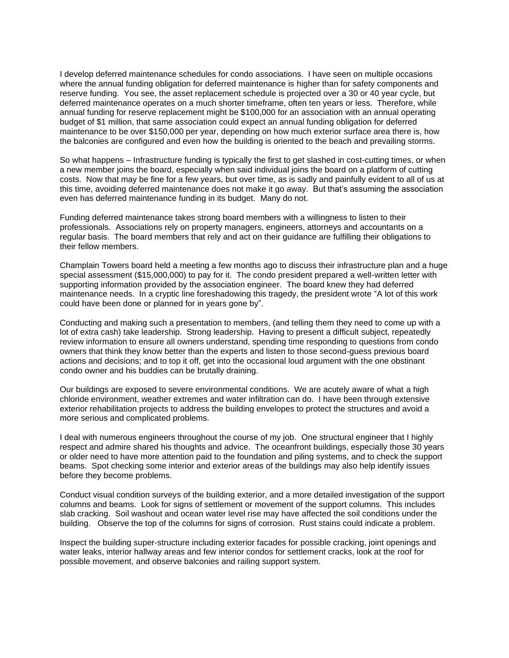I develop deferred maintenance schedules for condo associations. I have seen on multiple occasions where the annual funding obligation for deferred maintenance is higher than for safety components and reserve funding. You see, the asset replacement schedule is projected over a 30 or 40 year cycle, but deferred maintenance operates on a much shorter timeframe, often ten years or less. Therefore, while annual funding for reserve replacement might be \$100,000 for an association with an annual operating budget of \$1 million, that same association could expect an annual funding obligation for deferred maintenance to be over \$150,000 per year, depending on how much exterior surface area there is, how the balconies are configured and even how the building is oriented to the beach and prevailing storms.

So what happens – Infrastructure funding is typically the first to get slashed in cost-cutting times, or when a new member joins the board, especially when said individual joins the board on a platform of cutting costs. Now that may be fine for a few years, but over time, as is sadly and painfully evident to all of us at this time, avoiding deferred maintenance does not make it go away. But that's assuming the association even has deferred maintenance funding in its budget. Many do not.

Funding deferred maintenance takes strong board members with a willingness to listen to their professionals. Associations rely on property managers, engineers, attorneys and accountants on a regular basis. The board members that rely and act on their guidance are fulfilling their obligations to their fellow members.

Champlain Towers board held a meeting a few months ago to discuss their infrastructure plan and a huge special assessment (\$15,000,000) to pay for it. The condo president prepared a well-written letter with supporting information provided by the association engineer. The board knew they had deferred maintenance needs. In a cryptic line foreshadowing this tragedy, the president wrote "A lot of this work could have been done or planned for in years gone by".

Conducting and making such a presentation to members, (and telling them they need to come up with a lot of extra cash) take leadership. Strong leadership. Having to present a difficult subject, repeatedly review information to ensure all owners understand, spending time responding to questions from condo owners that think they know better than the experts and listen to those second-guess previous board actions and decisions; and to top it off, get into the occasional loud argument with the one obstinant condo owner and his buddies can be brutally draining.

Our buildings are exposed to severe environmental conditions. We are acutely aware of what a high chloride environment, weather extremes and water infiltration can do. I have been through extensive exterior rehabilitation projects to address the building envelopes to protect the structures and avoid a more serious and complicated problems.

I deal with numerous engineers throughout the course of my job. One structural engineer that I highly respect and admire shared his thoughts and advice. The oceanfront buildings, especially those 30 years or older need to have more attention paid to the foundation and piling systems, and to check the support beams. Spot checking some interior and exterior areas of the buildings may also help identify issues before they become problems.

Conduct visual condition surveys of the building exterior, and a more detailed investigation of the support columns and beams. Look for signs of settlement or movement of the support columns. This includes slab cracking. Soil washout and ocean water level rise may have affected the soil conditions under the building. Observe the top of the columns for signs of corrosion. Rust stains could indicate a problem.

Inspect the building super-structure including exterior facades for possible cracking, joint openings and water leaks, interior hallway areas and few interior condos for settlement cracks, look at the roof for possible movement, and observe balconies and railing support system.